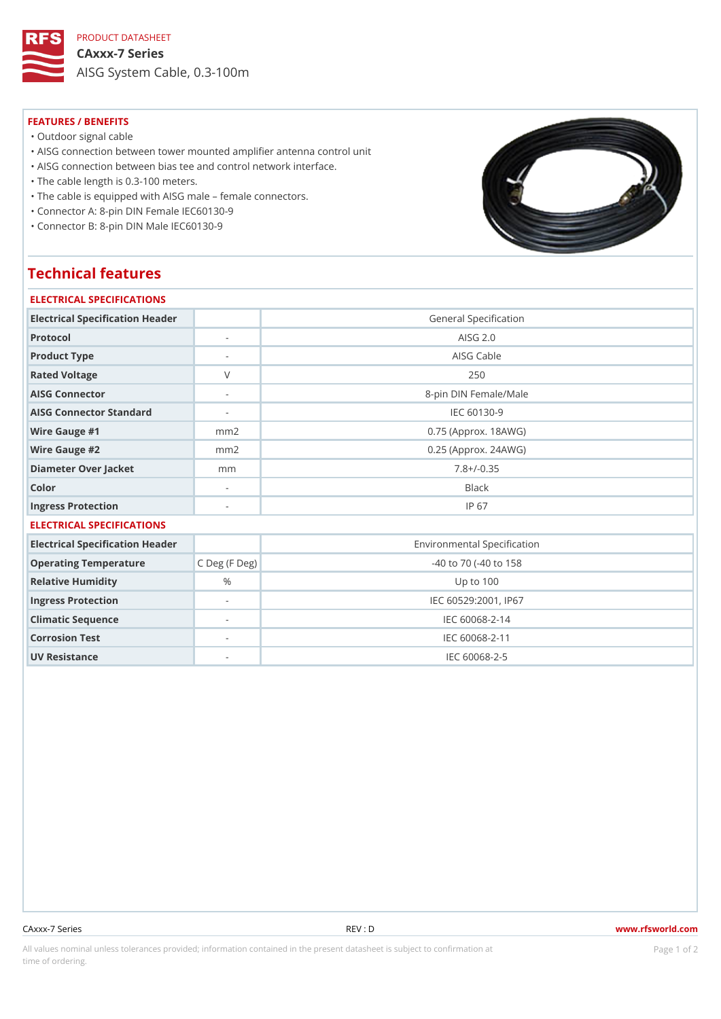PRODUCT DATASHEET

CAxxx-7 Series AISG System Cable, 0.3-100m

## FEATURES / BENEFITS

"Outdoor signal cable

"AISG connection between tower mounted amplifier antenna control unit

"AISG connection between bias tee and control network interface.

"The cable length is 0.3-100 meters.

"The cable is equipped with AISG male female connectors.

"Connector A: 8-pin DIN Female IEC60130-9

"Connector B: 8-pin DIN Male IEC60130-9

## Technical features

| ELECTRICAL SPECIFICATIONS           |                          |                                  |  |  |
|-------------------------------------|--------------------------|----------------------------------|--|--|
| Electrical Specification Header     |                          | General Specification            |  |  |
| Protocol                            |                          | AISG 2.0                         |  |  |
| Product Type                        | $\overline{\phantom{a}}$ | AISG Cable                       |  |  |
| Rated Voltage                       | $\vee$                   | 250                              |  |  |
| AISG Connector                      | $\sim$                   | 8-pin DIN Female/Male            |  |  |
| AISG Connector Standard             | $\sim$                   | IEC 60130-9                      |  |  |
| Wire Gauge #1                       | m m 2                    | $0.75$ (Approx. 18AWG)           |  |  |
| Wire Gauge #2                       | m m 2                    | $0.25$ (Approx. 24AWG)           |  |  |
| Diameter Over Jacket                | m <sub>m</sub>           | $7.8 + (-0.35)$                  |  |  |
| Color                               | $\overline{\phantom{a}}$ | Black                            |  |  |
| Ingress Protection                  |                          | IP 67                            |  |  |
| ELECTRICAL SPECIFICATIONS           |                          |                                  |  |  |
| Electrical Specification Header     |                          | Environmental Specification      |  |  |
| Operating Temperature C Deg (F Deg) |                          | $-40$ to $70$ ( $-40$ to $158$ ÿ |  |  |
| Relative Humidity                   | $\%$                     | Up to 100                        |  |  |
| Ingress Protection                  | $\overline{\phantom{a}}$ | IEC 60529:2001, IP67             |  |  |
| Climatic Sequence                   | $\overline{\phantom{a}}$ | IEC 60068-2-14                   |  |  |
| Corrosion Test                      | $\sim$                   | IEC 60068-2-11                   |  |  |
| UV Resistance                       |                          | IEC 60068-2-5                    |  |  |